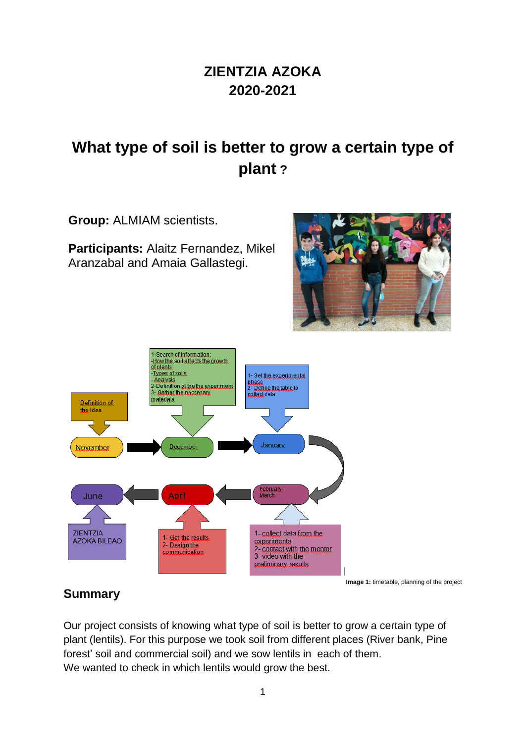# **ZIENTZIA AZOKA 2020-2021**

# **What type of soil is better to grow a certain type of plant ?**

**Group:** ALMIAM scientists.

**Participants:** Alaitz Fernandez, Mikel Aranzabal and Amaia Gallastegi.





#### **Summary**

Our project consists of knowing what type of soil is better to grow a certain type of plant (lentils). For this purpose we took soil from different places (River bank, Pine forest' soil and commercial soil) and we sow lentils in each of them. We wanted to check in which lentils would grow the best.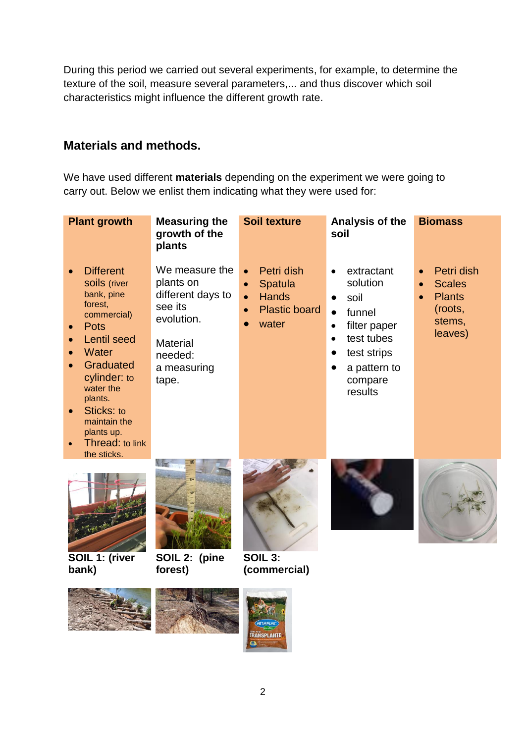During this period we carried out several experiments, for example, to determine the texture of the soil, measure several parameters,... and thus discover which soil characteristics might influence the different growth rate.

#### **Materials and methods.**

We have used different **materials** depending on the experiment we were going to carry out. Below we enlist them indicating what they were used for:

| <b>Plant growth</b>                                                                                                                                                                                                                                       | <b>Measuring the</b><br>growth of the<br>plants                                                                                 | <b>Soil texture</b>                                                                                                        | Analysis of the<br>soil                                                                                                                                                                      | <b>Biomass</b>                                                                            |
|-----------------------------------------------------------------------------------------------------------------------------------------------------------------------------------------------------------------------------------------------------------|---------------------------------------------------------------------------------------------------------------------------------|----------------------------------------------------------------------------------------------------------------------------|----------------------------------------------------------------------------------------------------------------------------------------------------------------------------------------------|-------------------------------------------------------------------------------------------|
| <b>Different</b><br>soils (river<br>bank, pine<br>forest,<br>commercial)<br><b>Pots</b><br><b>Lentil seed</b><br>Water<br>Graduated<br>cylinder: to<br>water the<br>plants.<br>Sticks: to<br>maintain the<br>plants up.<br>Thread: to link<br>the sticks. | We measure the<br>plants on<br>different days to<br>see its<br>evolution.<br><b>Material</b><br>needed:<br>a measuring<br>tape. | Petri dish<br>$\bullet$<br>Spatula<br>$\bullet$<br><b>Hands</b><br>$\bullet$<br><b>Plastic board</b><br>$\bullet$<br>water | extractant<br>$\bullet$<br>solution<br>soil<br>$\bullet$<br>funnel<br>$\bullet$<br>filter paper<br>$\bullet$<br>test tubes<br>$\bullet$<br>test strips<br>a pattern to<br>compare<br>results | Petri dish<br>$\bullet$<br><b>Scales</b><br><b>Plants</b><br>(roots,<br>stems,<br>leaves) |
| SOIL 1: (river<br>bank)                                                                                                                                                                                                                                   | SOIL 2: (pine<br>forest)                                                                                                        | <b>SOIL 3:</b><br>(commercial)                                                                                             |                                                                                                                                                                                              |                                                                                           |





**TRANSPLANTE**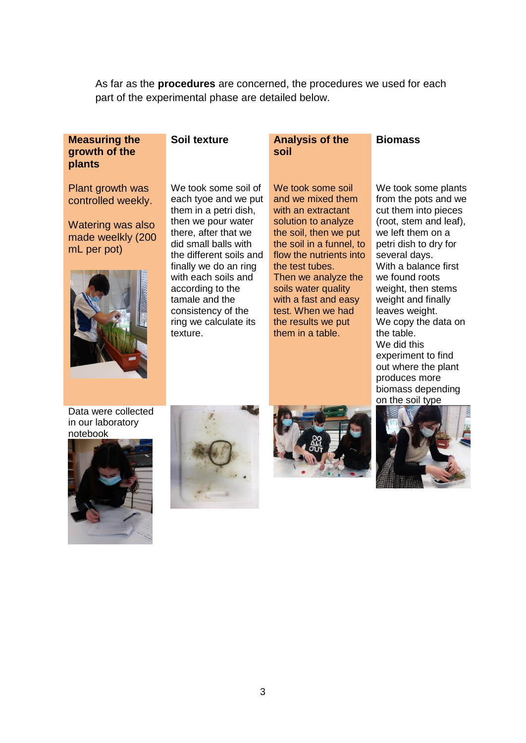As far as the **procedures** are concerned, the procedures we used for each part of the experimental phase are detailed below.

#### **Measuring the growth of the plants**

Plant growth was controlled weekly.

Watering was also made weelkly (200 mL per pot)



We took some soil of each tyoe and we put them in a petri dish, then we pour water there, after that we did small balls with the different soils and finally we do an ring with each soils and according to the tamale and the consistency of the ring we calculate its texture.

#### **Soil texture Analysis of the soil Biomass**

We took some soil and we mixed them with an extractant solution to analyze the soil, then we put the soil in a funnel, to flow the nutrients into the test tubes. Then we analyze the soils water quality with a fast and easy test. When we had the results we put them in a table.

We took some plants from the pots and we cut them into pieces (root, stem and leaf), we left them on a petri dish to dry for several days. With a balance first we found roots weight, then stems weight and finally leaves weight. We copy the data on the table. We did this experiment to find out where the plant produces more biomass depending on the soil type

Data were collected in our laboratory notebook







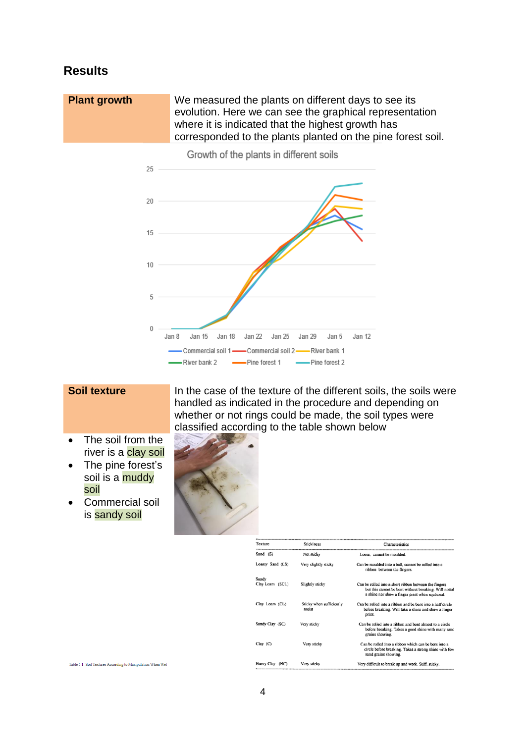#### **Results**

**Plant growth** We measured the plants on different days to see its evolution. Here we can see the graphical representation where it is indicated that the highest growth has corresponded to the plants planted on the pine forest soil.



Growth of the plants in different soils

- The soil from the river is a clay soil
- The pine forest's soil is a muddy soil
- Commercial soil is sandy soil

Table 5.1: Soil Textures According to Manipulation When Wet

**Soil texture In the case of the texture of the different soils, the soils were** handled as indicated in the procedure and depending on whether or not rings could be made, the soil types were classified according to the table shown below



| Texture         | <b>Stickiness</b>                 | Characteristics                                                                                                                                                  |  |  |
|-----------------|-----------------------------------|------------------------------------------------------------------------------------------------------------------------------------------------------------------|--|--|
| Sand (S)        | Not sticky                        | Loose, cannot be moulded.                                                                                                                                        |  |  |
| Loamy Sand (LS) | Very slightly sticky              | Can be moulded into a ball, cannot be rolled into a<br>ribbon between the fingers.                                                                               |  |  |
| Sandy           |                                   |                                                                                                                                                                  |  |  |
| Clay Loam (SCL) | Slightly sticky                   | Can be rolled into a short ribbon between the fingers<br>but this cannot be bent without breaking. Will nottal<br>a shine nor show a finger print when squeezed. |  |  |
| Clay Loam (CL)  | Sticky when sufficiently<br>moist | Can be rolled into a ribbon and be bent into a half circle<br>before breaking. Will take a shine and show a finger<br>print.                                     |  |  |
| Sandy Clav (SC) | Very sticky                       | Can be rolled into a ribbon and bent almost to a circle<br>before breaking. Takes a good shine with many sand<br>grains showing.                                 |  |  |
| $Clav$ $(C)$    | Very sticky                       | Can be rolled into a ribbon which can be bent into a<br>circle before breaking. Takes a strong shine with few<br>sand grains showing.                            |  |  |
| Heavy Clay (HC) | Very sticky                       | Very difficult to break up and work. Stiff, sticky.                                                                                                              |  |  |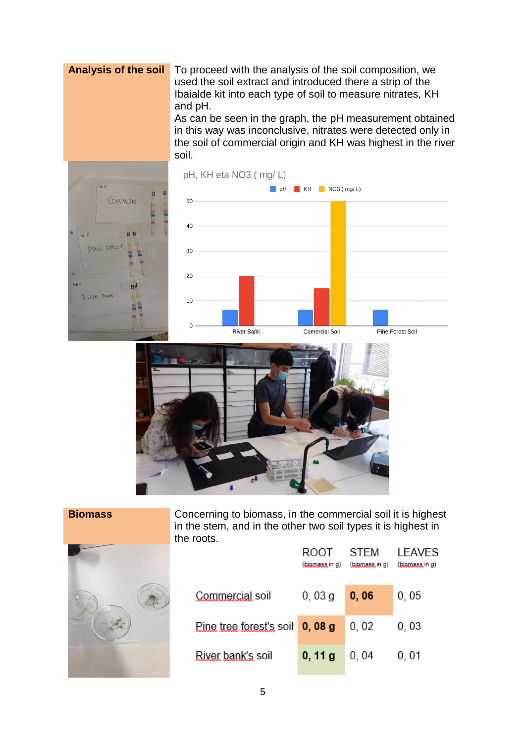**Analysis of the soil** To proceed with the analysis of the soil composition, we used the soil extract and introduced there a strip of the Ibaialde kit into each type of soil to measure nitrates, KH and pH.

As can be seen in the graph, the pH measurement obtained in this way was inconclusive, nitrates were detected only in the soil of commercial origin and KH was highest in the river soil.







| Concerning to<br>in the stem, an<br>the roots. |
|------------------------------------------------|
| Commerci                                       |
| <b>Eine tree t</b>                             |
| River banl                                     |
|                                                |

biomass, in the commercial soil it is highest id in the other two soil types it is highest in

**ROOT** 

**STEM** 

**LEAVES** 

|                                      |        | (biomass.in g) (biomass.in g) | (biomass.in g) |
|--------------------------------------|--------|-------------------------------|----------------|
| Commercial soil                      | 0,03g  | 0,06                          | 0,05           |
| Pine tree forest's soil $\,$ 0, 08 g |        | 0,02                          | 0,03           |
| River bank's soil                    | 0, 11g | 0,04                          | 0,01           |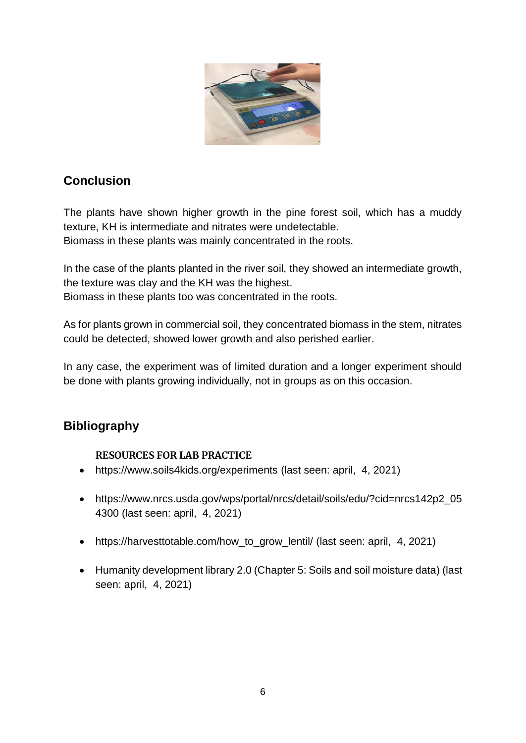

## **Conclusion**

The plants have shown higher growth in the pine forest soil, which has a muddy texture, KH is intermediate and nitrates were undetectable.

Biomass in these plants was mainly concentrated in the roots.

In the case of the plants planted in the river soil, they showed an intermediate growth, the texture was clay and the KH was the highest. Biomass in these plants too was concentrated in the roots.

As for plants grown in commercial soil, they concentrated biomass in the stem, nitrates could be detected, showed lower growth and also perished earlier.

In any case, the experiment was of limited duration and a longer experiment should be done with plants growing individually, not in groups as on this occasion.

### **Bibliography**

#### **RESOURCES FOR LAB PRACTICE**

- <https://www.soils4kids.org/experiments> (last seen: april, 4, 2021)
- [https://www.nrcs.usda.gov/wps/portal/nrcs/detail/soils/edu/?cid=nrcs142p2\\_05](https://www.nrcs.usda.gov/wps/portal/nrcs/detail/soils/edu/?cid=nrcs142p2_054300) [4300](https://www.nrcs.usda.gov/wps/portal/nrcs/detail/soils/edu/?cid=nrcs142p2_054300) (last seen: april, 4, 2021)
- [https://harvesttotable.com/how\\_to\\_grow\\_lentil/](https://harvesttotable.com/how_to_grow_lentil/) (last seen: april, 4, 2021)
- Humanity development library 2.0 (Chapter 5: Soils and soil moisture data) (last seen: april, 4, 2021)